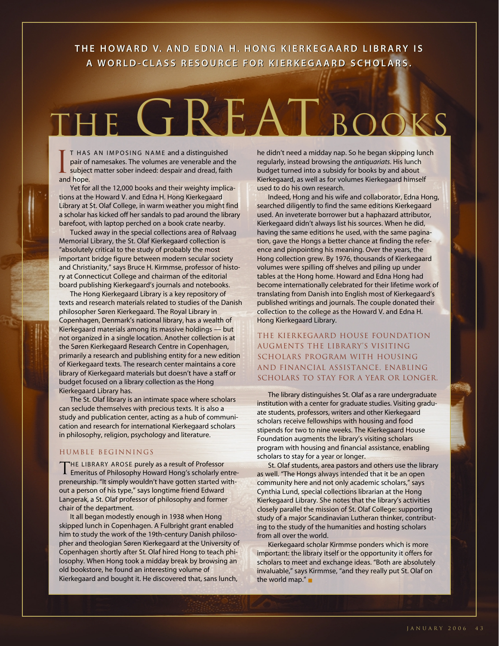# **THE HOWARD V. AND EDNA H. HONG KIERKEGAARD LIBRARY IS THE HOWARD V. AND EDNA H. HONG KIERKEGAARD LIBRARY IS A WORLD-CLASS RESOURCE FOR KIERKEGAARD SCHOLARS. A WORLD-CLASS RESOURCE FOR KIERKEGAARD SCHOLARS.**

# THE GREAT BOOKS

T HAS AN IMPOSING NAME and a distinguished pair of namesakes. The volumes are venerable and the subject matter sober indeed: despair and dread, faith and hope. I

Yet for all the 12,000 books and their weighty implications at the Howard V. and Edna H. Hong Kierkegaard Library at St. Olaf College, in warm weather you might find a scholar has kicked off her sandals to pad around the library barefoot, with laptop perched on a book crate nearby.

Tucked away in the special collections area of Rølvaag Memorial Library, the St. Olaf Kierkegaard collection is "absolutely critical to the study of probably the most important bridge figure between modern secular society and Christianity," says Bruce H. Kirmmse, professor of history at Connecticut College and chairman of the editorial board publishing Kierkegaard's journals and notebooks.

The Hong Kierkegaard Library is a key repository of texts and research materials related to studies of the Danish philosopher Søren Kierkegaard. The Royal Library in Copenhagen, Denmark's national library, has a wealth of Kierkegaard materials among its massive holdings — but not organized in a single location. Another collection is at the Søren Kierkegaard Research Centre in Copenhagen, primarily a research and publishing entity for a new edition of Kierkegaard texts. The research center maintains a core library of Kierkegaard materials but doesn't have a staff or budget focused on a library collection as the Hong Kierkegaard Library has.

The St. Olaf library is an intimate space where scholars can seclude themselves with precious texts. It is also a study and publication center, acting as a hub of communication and research for international Kierkegaard scholars in philosophy, religion, psychology and literature.

### HUMBLE BEGINNINGS

THE LIBRARY AROSE purely as a result of Professor Emeritus of Philosophy Howard Hong's scholarly entrepreneurship. "It simply wouldn't have gotten started without a person of his type," says longtime friend Edward Langerak, a St. Olaf professor of philosophy and former chair of the department.

It all began modestly enough in 1938 when Hong skipped lunch in Copenhagen. A Fulbright grant enabled him to study the work of the 19th-century Danish philosopher and theologian Søren Kierkegaard at the University of Copenhagen shortly after St. Olaf hired Hong to teach philosophy. When Hong took a midday break by browsing an old bookstore, he found an interesting volume of Kierkegaard and bought it. He discovered that, sans lunch,

he didn't need a midday nap. So he began skipping lunch regularly, instead browsing the *antiquariats*. His lunch budget turned into a subsidy for books by and about Kierkegaard, as well as for volumes Kierkegaard himself used to do his own research.

Indeed, Hong and his wife and collaborator, Edna Hong, searched diligently to find the same editions Kierkegaard used. An inveterate borrower but a haphazard attributor, Kierkegaard didn't always list his sources. When he did, having the same editions he used, with the same pagination, gave the Hongs a better chance at finding the reference and pinpointing his meaning. Over the years, the Hong collection grew. By 1976, thousands of Kierkegaard volumes were spilling off shelves and piling up under tables at the Hong home. Howard and Edna Hong had become internationally celebrated for their lifetime work of translating from Danish into English most of Kierkegaard's published writings and journals. The couple donated their collection to the college as the Howard V. and Edna H. Hong Kierkegaard Library.

The Kierkegaard House Foundation augments the library's visiting scholars program with housing and financial assistance, enabling scholars to stay for a year or longer.

The library distinguishes St. Olaf as a rare undergraduate institution with a center for graduate studies. Visiting graduate students, professors, writers and other Kierkegaard scholars receive fellowships with housing and food stipends for two to nine weeks. The Kierkegaard House Foundation augments the library's visiting scholars program with housing and financial assistance, enabling scholars to stay for a year or longer.

St. Olaf students, area pastors and others use the library as well. "The Hongs always intended that it be an open community here and not only academic scholars," says Cynthia Lund, special collections librarian at the Hong Kierkegaard Library. She notes that the library's activities closely parallel the mission of St. Olaf College: supporting study of a major Scandinavian Lutheran thinker, contributing to the study of the humanities and hosting scholars from all over the world.

Kierkegaard scholar Kirmmse ponders which is more important: the library itself or the opportunity it offers for scholars to meet and exchange ideas. "Both are absolutely invaluable," says Kirmmse, "and they really put St. Olaf on the world map." ■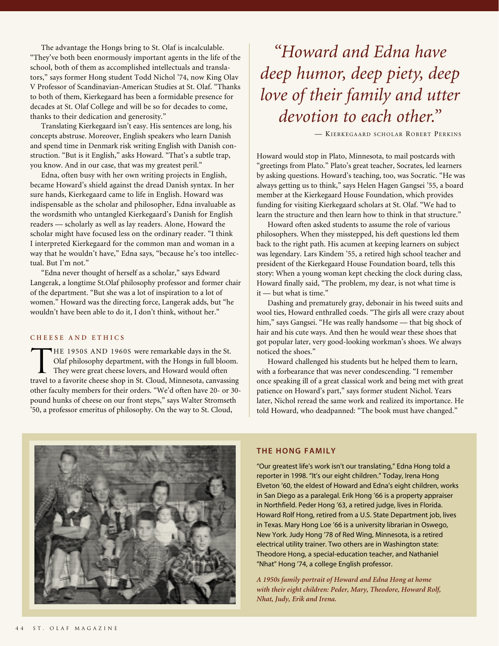The advantage the Hongs bring to St. Olaf is incalculable. "They've both been enormously important agents in the life of the school, both of them as accomplished intellectuals and translators," says former Hong student Todd Nichol '74, now King Olav V Professor of Scandinavian-American Studies at St. Olaf. "Thanks to both of them, Kierkegaard has been a formidable presence for decades at St. Olaf College and will be so for decades to come, thanks to their dedication and generosity."

Translating Kierkegaard isn't easy. His sentences are long, his concepts abstruse. Moreover, English speakers who learn Danish and spend time in Denmark risk writing English with Danish construction. "But is it English," asks Howard. "That's a subtle trap, you know. And in our case, that was my greatest peril."

Edna, often busy with her own writing projects in English, became Howard's shield against the dread Danish syntax. In her sure hands, Kierkegaard came to life in English. Howard was indispensable as the scholar and philosopher, Edna invaluable as the wordsmith who untangled Kierkegaard's Danish for English readers — scholarly as well as lay readers. Alone, Howard the scholar might have focused less on the ordinary reader. "I think I interpreted Kierkegaard for the common man and woman in a way that he wouldn't have," Edna says, "because he's too intellectual. But I'm not."

"Edna never thought of herself as a scholar," says Edward Langerak, a longtime St.Olaf philosophy professor and former chair of the department. "But she was a lot of inspiration to a lot of women." Howard was the directing force, Langerak adds, but "he wouldn't have been able to do it, I don't think, without her."

#### **CHEESE AND ETHICS**

THE 1950S AND 1960S were remarkable days in the St.<br>Olaf philosophy department, with the Hongs in full blood<br>They were great cheese lovers, and Howard would often Olaf philosophy department, with the Hongs in full bloom. They were great cheese lovers, and Howard would often travel to a favorite cheese shop in St. Cloud, Minnesota, canvassing other faculty members for their orders. "We'd often have 20- or 30 pound hunks of cheese on our front steps," says Walter Stromseth '50, a professor emeritus of philosophy. On the way to St. Cloud,

*"Howard and Edna have deep humor, deep piety, deep love of their family and utter devotion to each other."*

— KIERKEGAARD SCHOLAR ROBERT PERKINS

Howard would stop in Plato, Minnesota, to mail postcards with "greetings from Plato." Plato's great teacher, Socrates, led learners by asking questions. Howard's teaching, too, was Socratic. "He was always getting us to think," says Helen Hagen Gangsei '55, a board member at the Kierkegaard House Foundation, which provides funding for visiting Kierkegaard scholars at St. Olaf. "We had to learn the structure and then learn how to think in that structure."

Howard often asked students to assume the role of various philosophers. When they misstepped, his deft questions led them back to the right path. His acumen at keeping learners on subject was legendary. Lars Kindem '55, a retired high school teacher and president of the Kierkegaard House Foundation board, tells this story: When a young woman kept checking the clock during class, Howard finally said, "The problem, my dear, is not what time is it — but what is time."

Dashing and prematurely gray, debonair in his tweed suits and wool ties, Howard enthralled coeds. "The girls all were crazy about him," says Gangsei. "He was really handsome — that big shock of hair and his cute ways. And then he would wear these shoes that got popular later, very good-looking workman's shoes. We always noticed the shoes."

Howard challenged his students but he helped them to learn, with a forbearance that was never condescending. "I remember once speaking ill of a great classical work and being met with great patience on Howard's part," says former student Nichol. Years later, Nichol reread the same work and realized its importance. He told Howard, who deadpanned: "The book must have changed."



#### **THE HONG FAMILY**

"Our greatest life's work isn't our translating," Edna Hong told a reporter in 1998. "It's our eight children." Today, Irena Hong Elveton '60, the eldest of Howard and Edna's eight children, works in San Diego as a paralegal. Erik Hong '66 is a property appraiser in Northfield. Peder Hong '63, a retired judge, lives in Florida. Howard Rolf Hong, retired from a U.S. State Department job, lives in Texas. Mary Hong Loe '66 is a university librarian in Oswego, New York. Judy Hong '78 of Red Wing, Minnesota, is a retired electrical utility trainer. Two others are in Washington state: Theodore Hong, a special-education teacher, and Nathaniel "Nhat" Hong '74, a college English professor.

*A 1950s family portrait of Howard and Edna Hong at home with their eight children: Peder, Mary, Theodore, Howard Rolf, Nhat, Judy, Erik and Irena.*